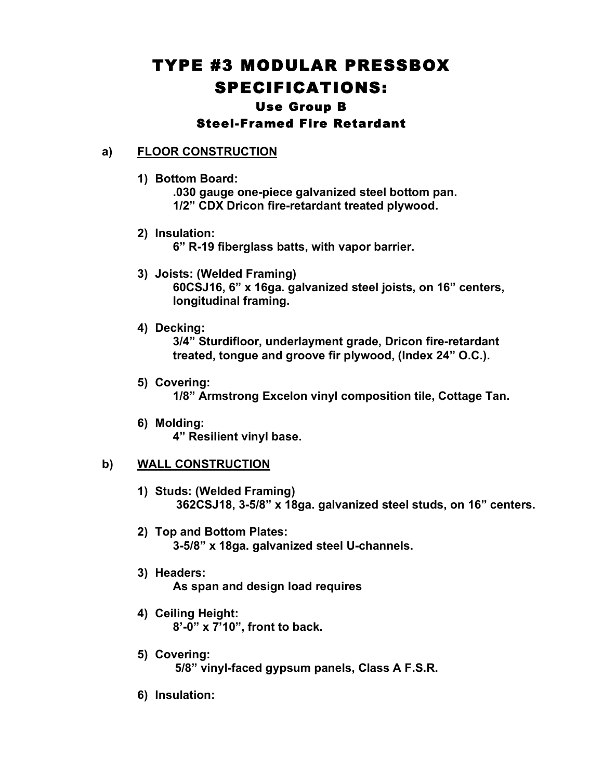# TYPE #3 MODULAR PRESSBOX SPECIFICATIONS: Use Group B

# Steel-Framed Fire Retardant

# **a) FLOOR CONSTRUCTION**

**1) Bottom Board:**

**.030 gauge one-piece galvanized steel bottom pan. 1/2" CDX Dricon fire-retardant treated plywood.**

- **2) Insulation: 6" R-19 fiberglass batts, with vapor barrier.**
- **3) Joists: (Welded Framing) 60CSJ16, 6" x 16ga. galvanized steel joists, on 16" centers, longitudinal framing.**
- **4) Decking:**

**3/4" Sturdifloor, underlayment grade, Dricon fire-retardant treated, tongue and groove fir plywood, (Index 24" O.C.).**

- **5) Covering: 1/8" Armstrong Excelon vinyl composition tile, Cottage Tan.**
- **6) Molding: 4" Resilient vinyl base.**

## **b) WALL CONSTRUCTION**

- **1) Studs: (Welded Framing) 362CSJ18, 3-5/8" x 18ga. galvanized steel studs, on 16" centers.**
- **2) Top and Bottom Plates: 3-5/8" x 18ga. galvanized steel U-channels.**
- **3) Headers: As span and design load requires**
- **4) Ceiling Height: 8'-0" x 7'10", front to back.**
- **5) Covering: 5/8" vinyl-faced gypsum panels, Class A F.S.R.**
- **6) Insulation:**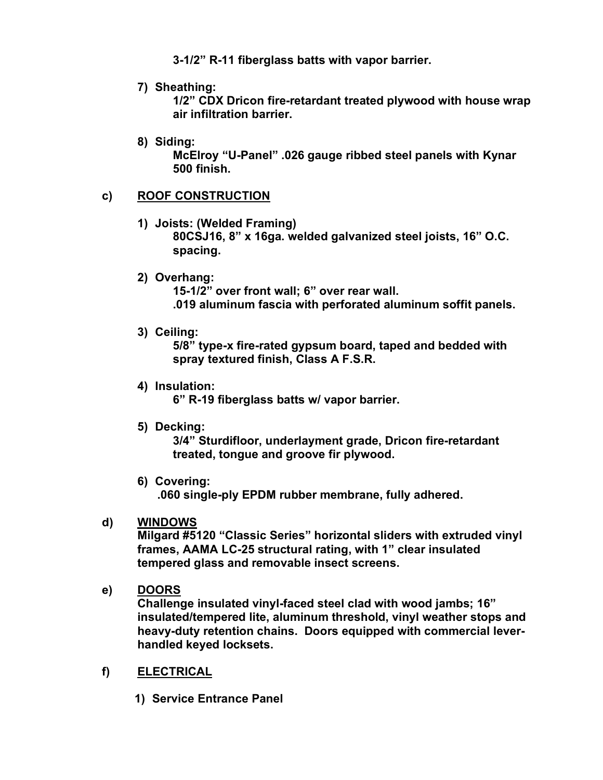**3-1/2" R-11 fiberglass batts with vapor barrier.**

**7) Sheathing:**

**1/2" CDX Dricon fire-retardant treated plywood with house wrap air infiltration barrier.**

**8) Siding:**

**McElroy "U-Panel" .026 gauge ribbed steel panels with Kynar 500 finish.**

# **c) ROOF CONSTRUCTION**

- **1) Joists: (Welded Framing) 80CSJ16, 8" x 16ga. welded galvanized steel joists, 16" O.C.**
- **spacing.**
- **2) Overhang:**

**15-1/2" over front wall; 6" over rear wall. .019 aluminum fascia with perforated aluminum soffit panels.**

**3) Ceiling:**

**5/8" type-x fire-rated gypsum board, taped and bedded with spray textured finish, Class A F.S.R.**

**4) Insulation:**

**6" R-19 fiberglass batts w/ vapor barrier.**

**5) Decking:**

**3/4" Sturdifloor, underlayment grade, Dricon fire-retardant treated, tongue and groove fir plywood.**

**6) Covering:**

**.060 single-ply EPDM rubber membrane, fully adhered.**

# **d) WINDOWS**

**Milgard #5120 "Classic Series" horizontal sliders with extruded vinyl frames, AAMA LC-25 structural rating, with 1" clear insulated tempered glass and removable insect screens.**

**e) DOORS**

**Challenge insulated vinyl-faced steel clad with wood jambs; 16" insulated/tempered lite, aluminum threshold, vinyl weather stops and heavy-duty retention chains. Doors equipped with commercial leverhandled keyed locksets.**

## **f) ELECTRICAL**

**1) Service Entrance Panel**